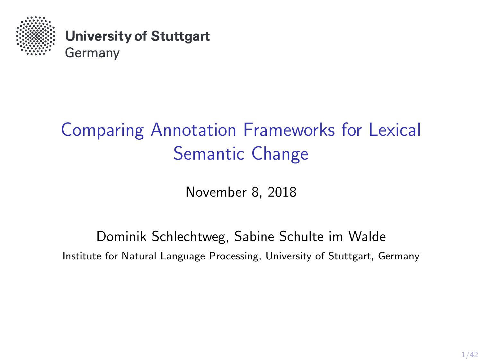

**University of Stuttgart** Germany

# Comparing Annotation Frameworks for Lexical Semantic Change

November 8, 2018

Dominik Schlechtweg, Sabine Schulte im Walde Institute for Natural Language Processing, University of Stuttgart, Germany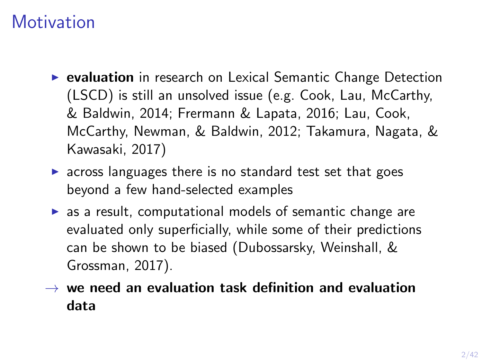# **Motivation**

- $\triangleright$  evaluation in research on Lexical Semantic Change Detection (LSCD) is still an unsolved issue (e.g. [Cook, Lau, McCarthy,](#page-41-0) [& Baldwin, 2014;](#page-41-0) [Frermann & Lapata, 2016;](#page-41-1) [Lau, Cook,](#page-41-2) [McCarthy, Newman, & Baldwin, 2012;](#page-41-2) [Takamura, Nagata, &](#page-41-3) [Kawasaki, 2017\)](#page-41-3)
- $\triangleright$  across languages there is no standard test set that goes beyond a few hand-selected examples
- $\triangleright$  as a result, computational models of semantic change are evaluated only superficially, while some of their predictions can be shown to be biased [\(Dubossarsky, Weinshall, &](#page-41-4) [Grossman, 2017\)](#page-41-4).
- $\rightarrow$  we need an evaluation task definition and evaluation data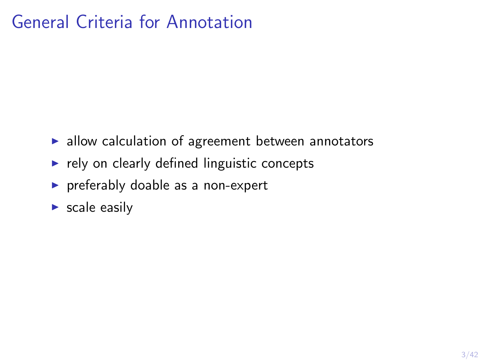# General Criteria for Annotation

- $\blacktriangleright$  allow calculation of agreement between annotators
- $\blacktriangleright$  rely on clearly defined linguistic concepts
- $\triangleright$  preferably doable as a non-expert
- $\triangleright$  scale easily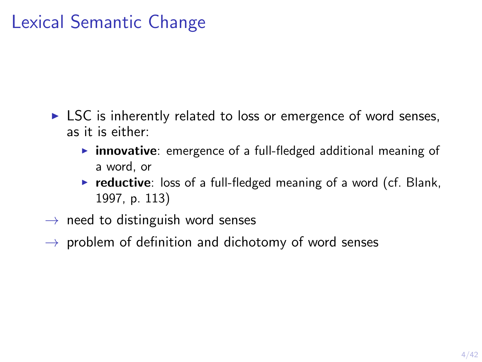# Lexical Semantic Change

- $\triangleright$  LSC is inherently related to loss or emergence of word senses, as it is either:
	- $\triangleright$  innovative: emergence of a full-fledged additional meaning of a word, or
	- $\triangleright$  reductive: loss of a full-fledged meaning of a word (cf. [Blank,](#page-41-5) [1997,](#page-41-5) p. 113)
- $\rightarrow$  need to distinguish word senses
- $\rightarrow$  problem of definition and dichotomy of word senses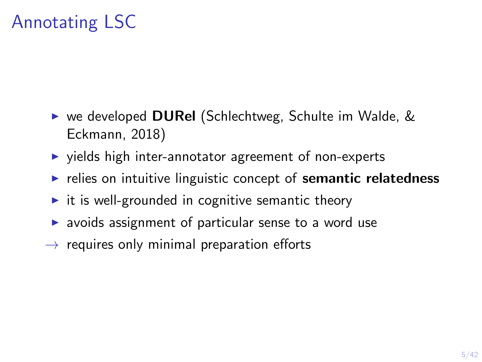# Annotating LSC

- $\triangleright$  we developed **DURel** [\(Schlechtweg, Schulte im Walde, &](#page-41-6) [Eckmann, 2018\)](#page-41-6)
- $\triangleright$  yields high inter-annotator agreement of non-experts
- $\blacktriangleright$  relies on intuitive linguistic concept of semantic relatedness
- $\triangleright$  it is well-grounded in cognitive semantic theory
- $\triangleright$  avoids assignment of particular sense to a word use
- $\rightarrow$  requires only minimal preparation efforts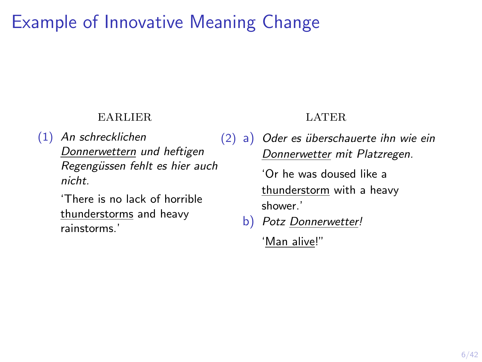# Example of Innovative Meaning Change

#### earlier

(1) An schrecklichen Donnerwettern und heftigen Regengüssen fehlt es hier auch nicht.

> 'There is no lack of horrible thunderstorms and heavy rainstorms.'

#### LATER

 $(2)$  a) Oder es überschauerte ihn wie ein Donnerwetter mit Platzregen.

> 'Or he was doused like a thunderstorm with a heavy shower.'

b) Potz Donnerwetter!

'Man alive!"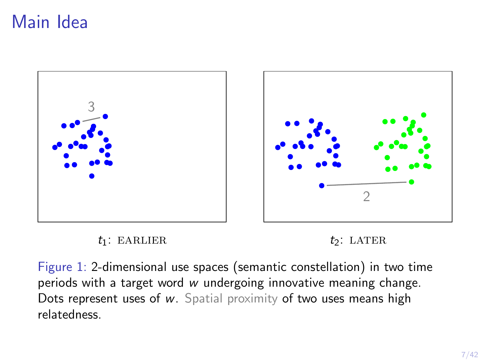# Main Idea









Figure 1: 2-dimensional use spaces (semantic constellation) in two time periods with a target word w undergoing innovative meaning change. Dots represent uses of w. Spatial proximity of two uses means high relatedness.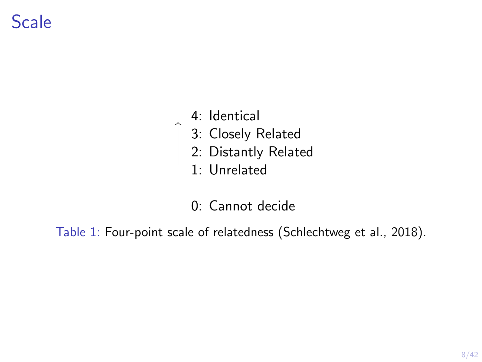# Scale

4: Identical

 $\begin{array}{c} \uparrow \\ \hline \downarrow \\ \hline \end{array}$ 

- 3: Closely Related
- 2: Distantly Related
- 1: Unrelated
- 0: Cannot decide

<span id="page-7-0"></span>Table 1: Four-point scale of relatedness [\(Schlechtweg et al., 2018\)](#page-41-6).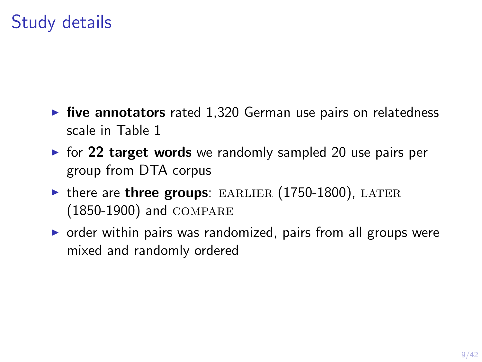# Study details

- $\triangleright$  five annotators rated 1,320 German use pairs on relatedness scale in Table [1](#page-7-0)
- $\triangleright$  for 22 target words we randomly sampled 20 use pairs per group from DTA corpus
- $\triangleright$  there are three groups: EARLIER (1750-1800), LATER (1850-1900) and compare
- $\triangleright$  order within pairs was randomized, pairs from all groups were mixed and randomly ordered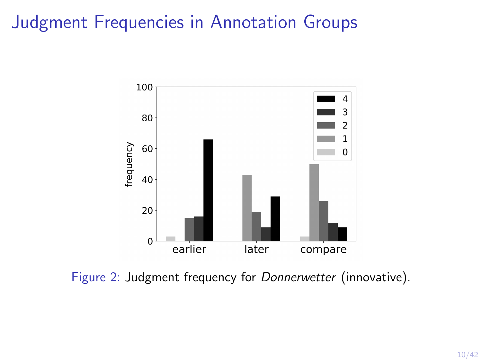# Judgment Frequencies in Annotation Groups



Figure 2: Judgment frequency for Donnerwetter (innovative).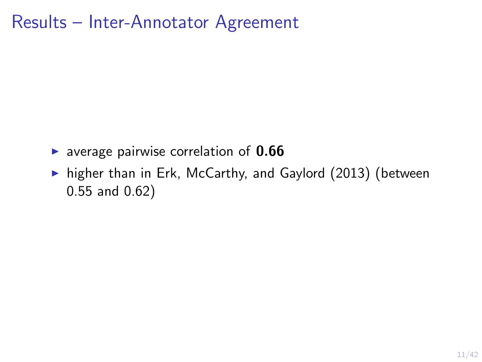## Results – Inter-Annotator Agreement

- **D** average pairwise correlation of  $0.66$
- $\triangleright$  higher than in [Erk, McCarthy, and Gaylord \(2013\)](#page-41-7) (between 0.55 and 0.62)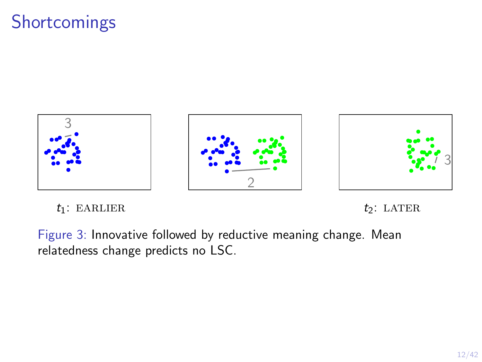# Shortcomings



 $t_1$ : EARLIER  $t_2$ : LATER

Figure 3: Innovative followed by reductive meaning change. Mean relatedness change predicts no LSC.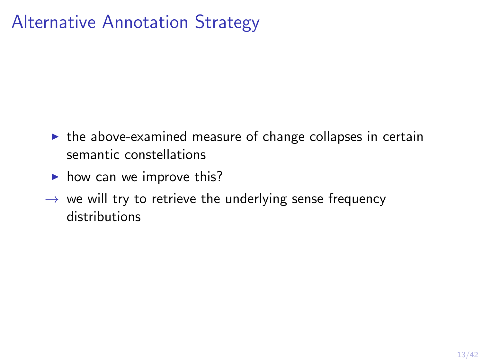# Alternative Annotation Strategy

- $\triangleright$  the above-examined measure of change collapses in certain semantic constellations
- $\blacktriangleright$  how can we improve this?
- $\rightarrow$  we will try to retrieve the underlying sense frequency distributions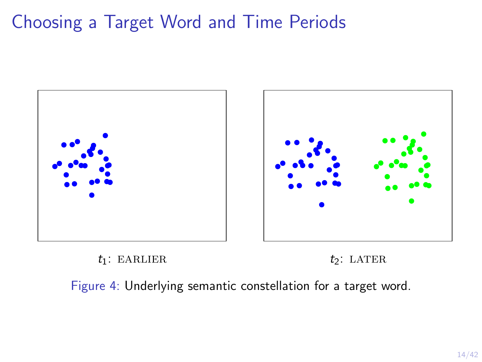# Choosing a Target Word and Time Periods





Figure 4: Underlying semantic constellation for a target word.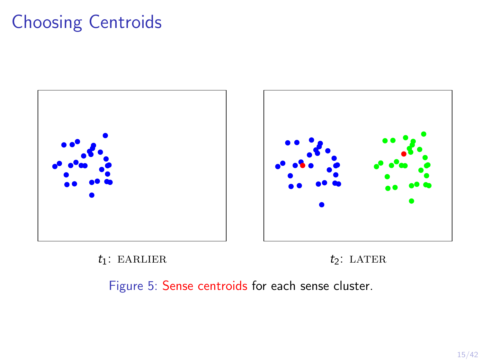# Choosing Centroids



 $t_1$ : EARLIER  $t_2$ : LATER



Figure 5: Sense centroids for each sense cluster.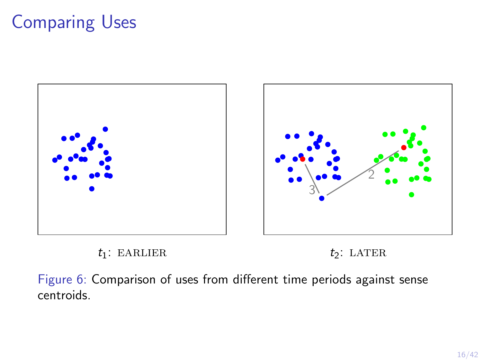# Comparing Uses









Figure 6: Comparison of uses from different time periods against sense centroids.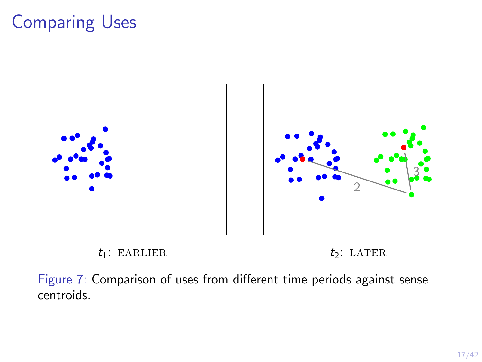# Comparing Uses









Figure 7: Comparison of uses from different time periods against sense centroids.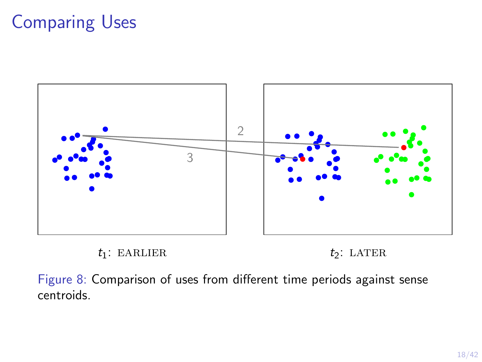# Comparing Uses





Figure 8: Comparison of uses from different time periods against sense centroids.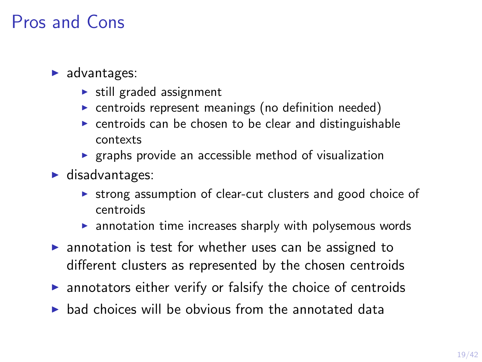# Pros and Cons

#### $\blacktriangleright$  advantages:

- $\triangleright$  still graded assignment
- $\triangleright$  centroids represent meanings (no definition needed)
- $\triangleright$  centroids can be chosen to be clear and distinguishable contexts
- $\triangleright$  graphs provide an accessible method of visualization
- $\blacktriangleright$  disadvantages:
	- $\triangleright$  strong assumption of clear-cut clusters and good choice of centroids
	- $\blacktriangleright$  annotation time increases sharply with polysemous words
- $\triangleright$  annotation is test for whether uses can be assigned to different clusters as represented by the chosen centroids
- $\triangleright$  annotators either verify or falsify the choice of centroids
- $\triangleright$  bad choices will be obvious from the annotated data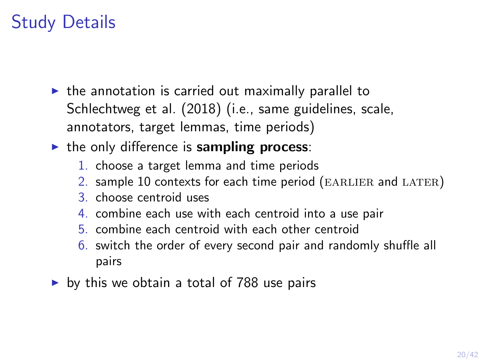# Study Details

- $\triangleright$  the annotation is carried out maximally parallel to [Schlechtweg et al. \(2018\)](#page-41-6) (i.e., same guidelines, scale, annotators, target lemmas, time periods)
- $\triangleright$  the only difference is sampling process:
	- 1. choose a target lemma and time periods
	- 2. sample 10 contexts for each time period (EARLIER and LATER)
	- 3. choose centroid uses
	- 4. combine each use with each centroid into a use pair
	- 5. combine each centroid with each other centroid
	- 6. switch the order of every second pair and randomly shuffle all pairs
- $\triangleright$  by this we obtain a total of 788 use pairs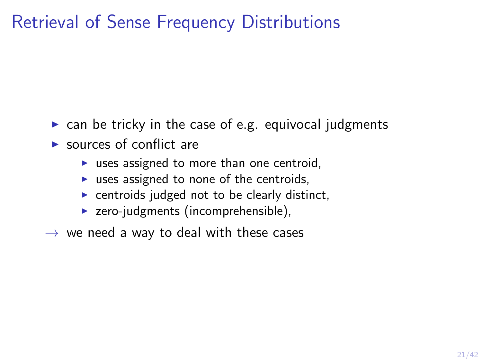# Retrieval of Sense Frequency Distributions

- $\triangleright$  can be tricky in the case of e.g. equivocal judgments
- $\blacktriangleright$  sources of conflict are
	- $\triangleright$  uses assigned to more than one centroid,
	- $\triangleright$  uses assigned to none of the centroids,
	- $\triangleright$  centroids judged not to be clearly distinct,
	- $\triangleright$  zero-judgments (incomprehensible),
- $\rightarrow$  we need a way to deal with these cases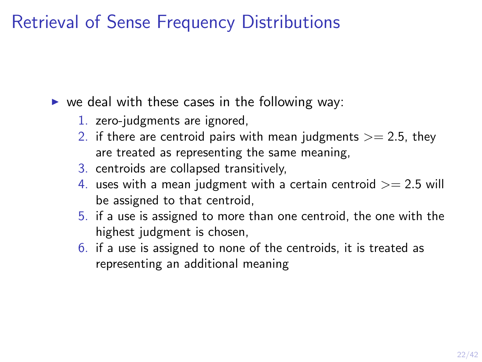## Retrieval of Sense Frequency Distributions

 $\triangleright$  we deal with these cases in the following way:

- 1. zero-judgments are ignored,
- 2. if there are centroid pairs with mean judgments  $>= 2.5$ , they are treated as representing the same meaning,
- 3. centroids are collapsed transitively,
- 4. uses with a mean judgment with a certain centroid  $>= 2.5$  will be assigned to that centroid,
- 5. if a use is assigned to more than one centroid, the one with the highest judgment is chosen,
- 6. if a use is assigned to none of the centroids, it is treated as representing an additional meaning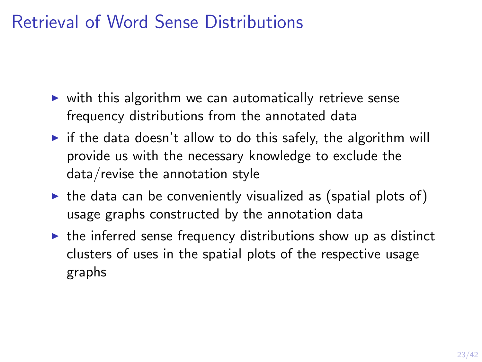# Retrieval of Word Sense Distributions

- $\triangleright$  with this algorithm we can automatically retrieve sense frequency distributions from the annotated data
- $\triangleright$  if the data doesn't allow to do this safely, the algorithm will provide us with the necessary knowledge to exclude the data/revise the annotation style
- $\triangleright$  the data can be conveniently visualized as (spatial plots of) usage graphs constructed by the annotation data
- $\triangleright$  the inferred sense frequency distributions show up as distinct clusters of uses in the spatial plots of the respective usage graphs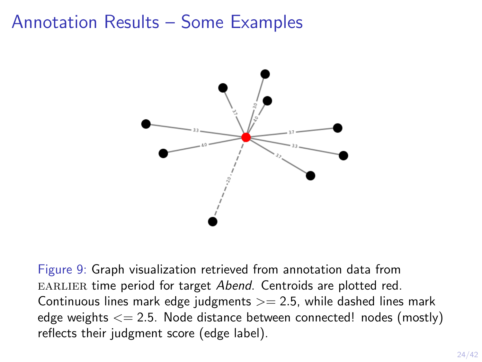## Annotation Results – Some Examples



Figure 9: Graph visualization retrieved from annotation data from EARLIER time period for target Abend. Centroids are plotted red. Continuous lines mark edge judgments  $\geq$  2.5, while dashed lines mark edge weights  $\leq$  2.5. Node distance between connected! nodes (mostly) reflects their judgment score (edge label).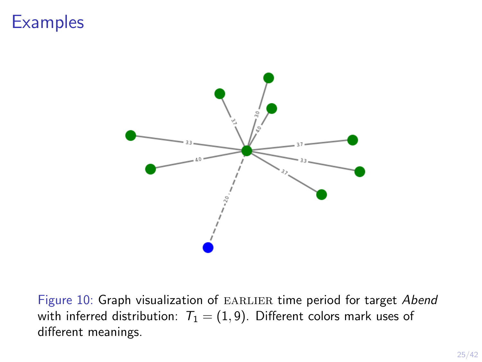

Figure 10: Graph visualization of EARLIER time period for target Abend with inferred distribution:  $T_1 = (1, 9)$ . Different colors mark uses of different meanings.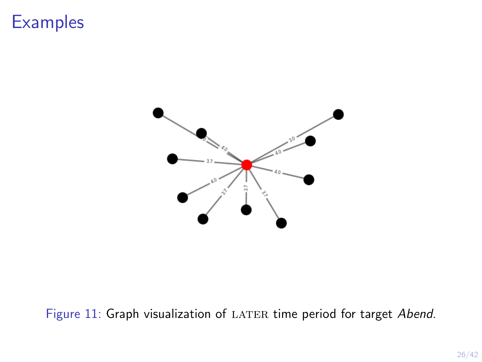

#### Figure 11: Graph visualization of LATER time period for target Abend.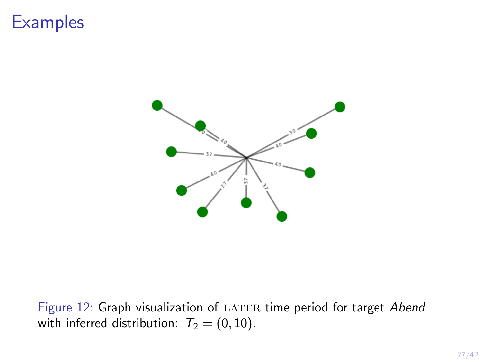

Figure 12: Graph visualization of LATER time period for target Abend with inferred distribution:  $T_2 = (0, 10)$ .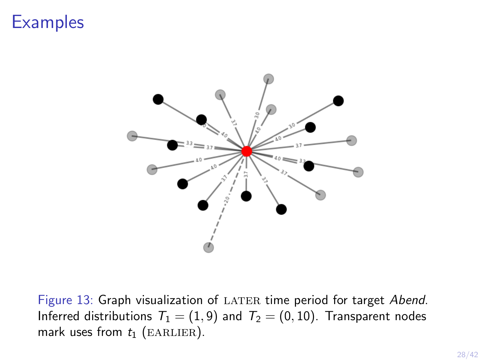

Figure 13: Graph visualization of LATER time period for target Abend. Inferred distributions  $T_1 = (1, 9)$  and  $T_2 = (0, 10)$ . Transparent nodes mark uses from  $t_1$  (EARLIER).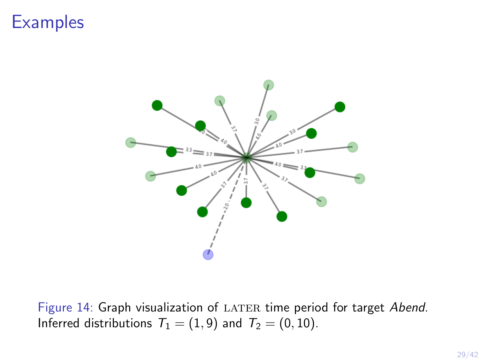

Figure 14: Graph visualization of LATER time period for target Abend. Inferred distributions  $T_1 = (1, 9)$  and  $T_2 = (0, 10)$ .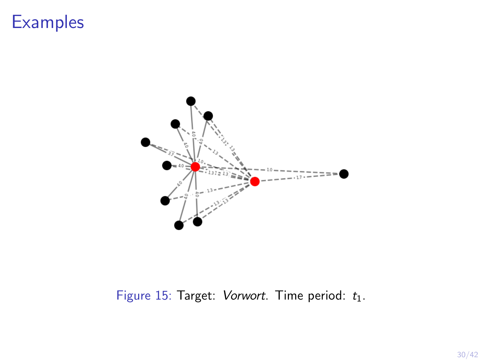

#### Figure 15: Target: Vorwort. Time period:  $t_1$ .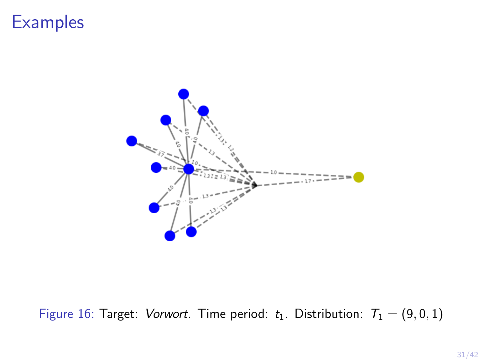

Figure 16: Target: Vorwort. Time period:  $t_1$ . Distribution:  $T_1 = (9, 0, 1)$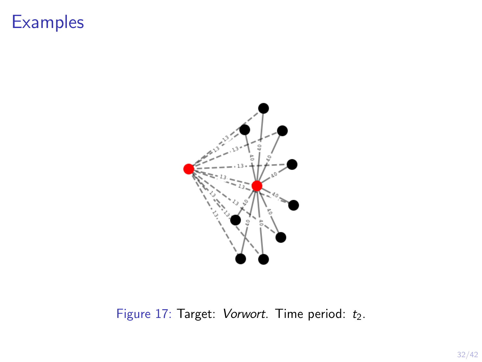

Figure 17: Target: Vorwort. Time period:  $t_2$ .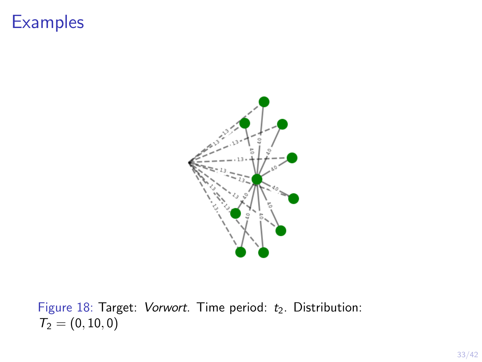

Figure 18: Target: Vorwort. Time period:  $t_2$ . Distribution:  $T_2 = (0, 10, 0)$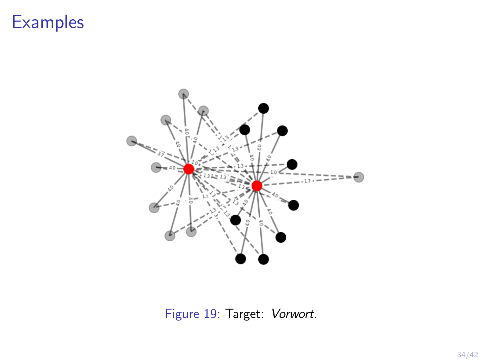

Figure 19: Target: Vorwort.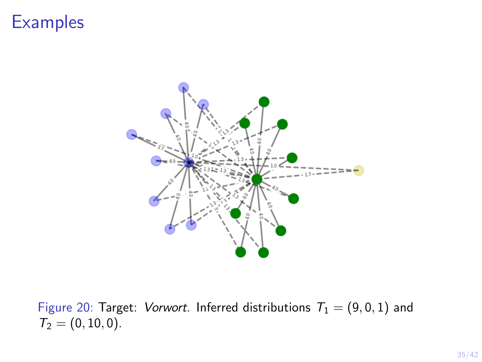

Figure 20: Target: Vorwort. Inferred distributions  $T_1 = (9, 0, 1)$  and  $T_2 = (0, 10, 0).$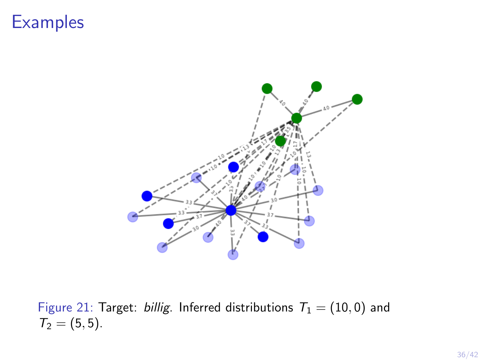

Figure 21: Target: billig. Inferred distributions  $T_1 = (10, 0)$  and  $T_2 = (5, 5).$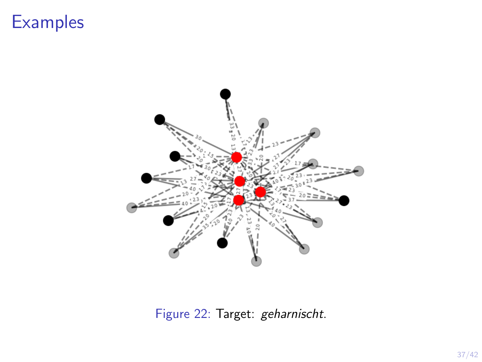

Figure 22: Target: geharnischt.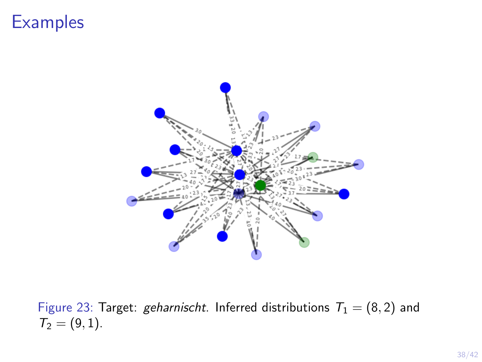

Figure 23: Target: geharnischt. Inferred distributions  $T_1 = (8, 2)$  and  $T_2 = (9, 1).$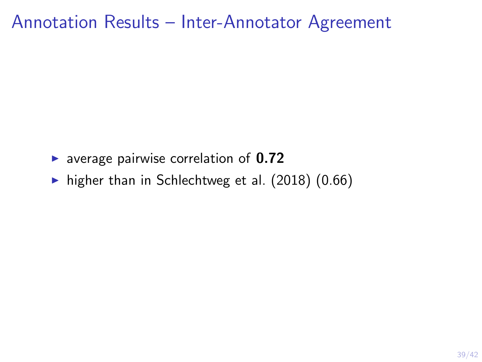#### Annotation Results – Inter-Annotator Agreement

- $\triangleright$  average pairwise correlation of 0.72
- $\blacktriangleright$  higher than in [Schlechtweg et al. \(2018\)](#page-41-6) (0.66)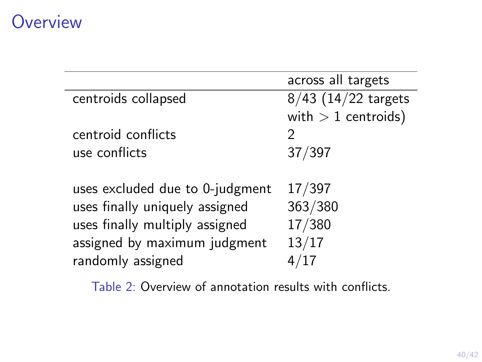## **Overview**

|                                 | across all targets    |
|---------------------------------|-----------------------|
| centroids collapsed             | $8/43$ (14/22 targets |
|                                 | with $> 1$ centroids) |
| centroid conflicts              | 2                     |
| use conflicts                   | 37/397                |
|                                 |                       |
| uses excluded due to 0-judgment | 17/397                |
| uses finally uniquely assigned  | 363/380               |
| uses finally multiply assigned  | 17/380                |
| assigned by maximum judgment    | 13/17                 |
| randomly assigned               |                       |
|                                 |                       |

Table 2: Overview of annotation results with conflicts.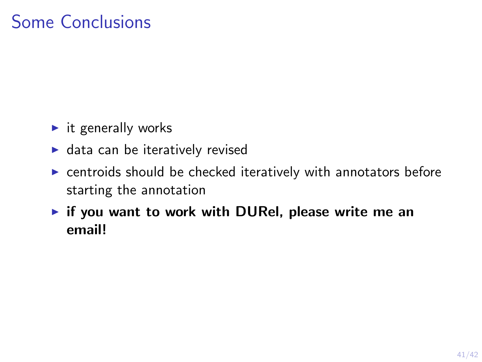# Some Conclusions

- $\blacktriangleright$  it generally works
- $\blacktriangleright$  data can be iteratively revised
- $\triangleright$  centroids should be checked iteratively with annotators before starting the annotation
- $\triangleright$  if you want to work with DURel, please write me an email!